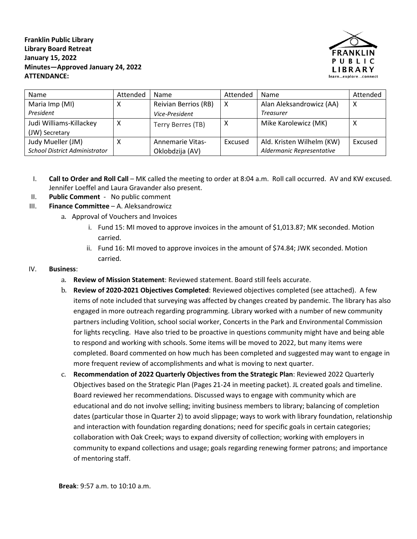**Franklin Public Library Library Board Retreat January 15, 2022 Minutes—Approved January 24, 2022 ATTENDANCE:**



| Name                                 | Attended | <b>Name</b>             | Attended | Name                      | Attended |
|--------------------------------------|----------|-------------------------|----------|---------------------------|----------|
| Maria Imp (MI)                       | х        | Reivian Berrios (RB)    | X        | Alan Aleksandrowicz (AA)  | Х        |
| President                            |          | Vice-President          |          | <b>Treasurer</b>          |          |
| Judi Williams-Killackey              | х        | Terry Berres (TB)       | х        | Mike Karolewicz (MK)      | х        |
| (JW) Secretary                       |          |                         |          |                           |          |
| Judy Mueller (JM)                    |          | <b>Annemarie Vitas-</b> | Excused  | Ald. Kristen Wilhelm (KW) | Excused  |
| <b>School District Administrator</b> |          | Oklobdzija (AV)         |          | Aldermanic Representative |          |

- I. **Call to Order and Roll Call** MK called the meeting to order at 8:04 a.m. Roll call occurred. AV and KW excused. Jennifer Loeffel and Laura Gravander also present.
- II. **Public Comment**  No public comment
- III. **Finance Committee** A. Aleksandrowicz
	- a. Approval of Vouchers and Invoices
		- i. Fund 15: MI moved to approve invoices in the amount of \$1,013.87; MK seconded. Motion carried.
		- ii. Fund 16: MI moved to approve invoices in the amount of \$74.84; JWK seconded. Motion carried.

## IV. **Business**:

- a. **Review of Mission Statement**: Reviewed statement. Board still feels accurate.
- b. **Review of 2020-2021 Objectives Completed**: Reviewed objectives completed (see attached). A few items of note included that surveying was affected by changes created by pandemic. The library has also engaged in more outreach regarding programming. Library worked with a number of new community partners including Volition, school social worker, Concerts in the Park and Environmental Commission for lights recycling. Have also tried to be proactive in questions community might have and being able to respond and working with schools. Some items will be moved to 2022, but many items were completed. Board commented on how much has been completed and suggested may want to engage in more frequent review of accomplishments and what is moving to next quarter.
- c. **Recommendation of 2022 Quarterly Objectives from the Strategic Plan**: Reviewed 2022 Quarterly Objectives based on the Strategic Plan (Pages 21-24 in meeting packet). JL created goals and timeline. Board reviewed her recommendations. Discussed ways to engage with community which are educational and do not involve selling; inviting business members to library; balancing of completion dates (particular those in Quarter 2) to avoid slippage; ways to work with library foundation, relationship and interaction with foundation regarding donations; need for specific goals in certain categories; collaboration with Oak Creek; ways to expand diversity of collection; working with employers in community to expand collections and usage; goals regarding renewing former patrons; and importance of mentoring staff.